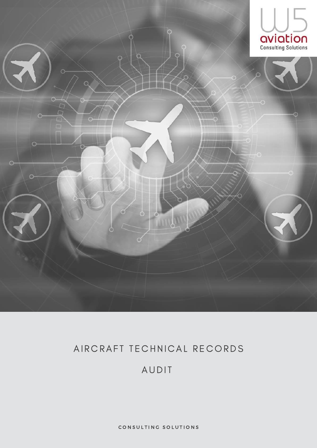

### AIRCRAFT TECHNICAL RECORDS

### AUDIT

CONSULTING SOLUTIONS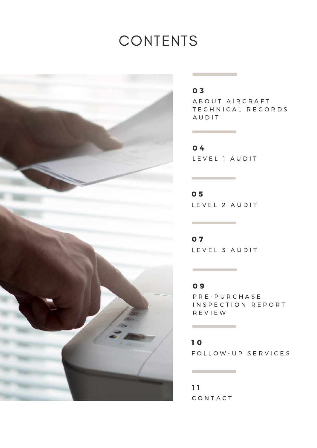# CONTENTS



#### 0 3

A B O U T A I R C R A F T TECHNICAL RECORDS A U D I T

L E V E L I A U D I T 0 4

L E V E L 2 A U D I T 0 5

L E V E L 3 A U D I T 0 7

P R E - P U R C H A S E INSPECTION REPORT R E V I E W 0 9

FOLLOW-UP SERVICES 1 0

C O N T A C T 1 1

**The Committee of the Committee**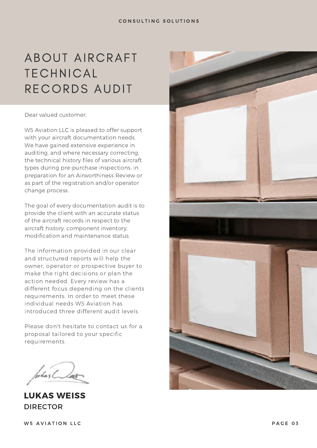# ABOUT AIRCRAFT TECHNICAL RECORDS AUDIT

#### Dear valued customer,

W5 Aviation LLC is pleased to offer support with your aircraft documentation needs. We have gained extensive experience in auditing, and where necessary correcting, the technical history files of various aircraft types during pre-purchase inspections, in preparation for an Airworthiness Review or as part of the registration and/or operator change process.

The goal of every documentation audit is to provide the client with an accurate status of the aircraft records in respect to the aircraft history, component inventory, modification and maintenance status.

The information provided in our clear and structured reports will help the owner, operator or prospective buyer to make the right decisions or plan the action needed. Every review has a different focus depending on the clients requirements. In order to meet these individual needs W5 Aviation has introduced three different audit levels.

Please don't hesitate to contact us for a proposal tailored to your specific requirements.

uhas La

LUKAS WEISS DIRECTOR

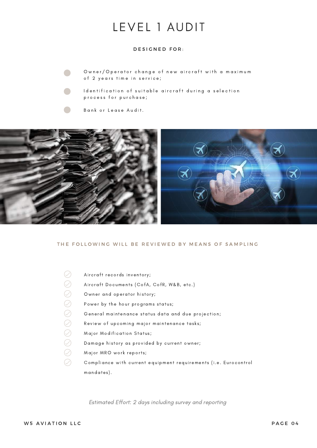## LEVEL 1 AUDIT

#### DESIGNED FOR:

Owner/Operator change of new aircraft with a maximum of 2 years time in service;

I dentification of suitable aircraft during a selection process for purchase;

Bank or Lease Audit.



#### THE FOLLOWING WILL BE REVIEWED BY MEANS OF SAMPLING

 $\oslash$ Aircraft records inventory;  $\bigcirc$ Aircraft Documents (CofA, CofR, W&B, etc.)  $\bigcirc$ Owner and operator history;  $\bigcirc$ Power by the hour programs status;  $\bigcirc$ General maintenance status data and due projection;  $\bigcirc$ Review of upcoming major maintenance tasks;  $\bigcirc$ Major Modification Status;  $\bigcirc$ Damage history as provided by current owner;  $\oslash$ Major MRO work reports;  $\oslash$ Compliance with current equipment requirements (i.e. Eurocontrol mandates ).

Estimated Effort: 2 days including survey and reporting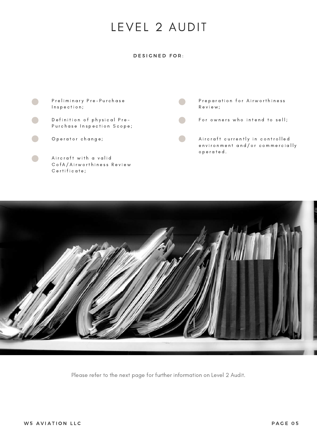## LEVEL 2 AUDIT

#### DESIGNED FOR:





Please refer to the next page for further information on Level 2 Audit.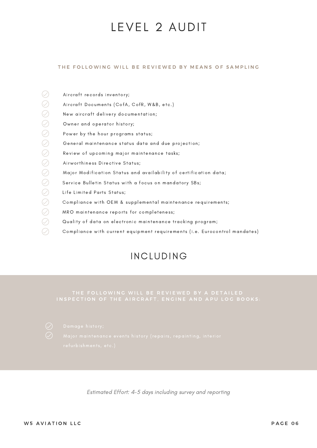### LEVEL 2 AUDIT

#### THE FOLLOWING WILL BE REVIEWED BY MEANS OF SAMPLING

| Aircraft records inventory;                                                |
|----------------------------------------------------------------------------|
| Aircraft Documents (CofA, CofR, W&B, etc.)                                 |
| New aircraft delivery documentation;                                       |
| Owner and operator history;                                                |
| Power by the hour programs status;                                         |
| General maintenance status data and due projection;                        |
| Review of upcoming major maintenance tasks;                                |
| Airworthiness Directive Status;                                            |
| Major Modification Status and availability of certification data;          |
| Service Bulletin Status with a focus on mandatory SBs;                     |
| Life Limited Parts Status;                                                 |
| Compliance with OEM & supplemental maintenance requirements;               |
| MRO maintenance reports for completeness;                                  |
| Quality of data on electronic maintenance tracking program;                |
| Compliance with current equipment requirements (i.e. Eurocontrol mandates) |
|                                                                            |

### INCLUDING

### THE FOLLOWING WILL BE REVIEWED BY A DETAILED



Estimated Effort: 4-5 days including survey and reporting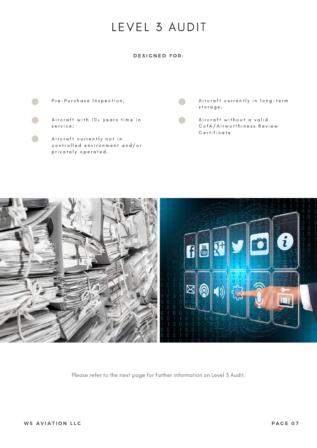## LEVEL 3 AUDIT

#### DESIGNED FOR:



- Aircraft with 10+ years time in s e r v i c e ;
- Aircraft currently not in controlled environment and/or privately operated.

Aircraft currently in long-term s t o r a g e ;

Aircraft without a valid C of A / Airworthiness Review C e r t i f i c a t e



Please refer to the next page for further information on Level 3 Audit.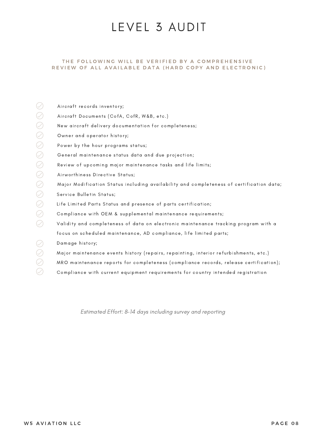### LEVEL 3 AUDIT

#### THE FOLLOWING WILL BE VERIFIED BY A COMPREHENSIVE REVIEW OF ALL AVAILABLE DATA (HARD COPY AND ELECTRONIC)

|                                   | Aircraft records inventory;                                                              |
|-----------------------------------|------------------------------------------------------------------------------------------|
|                                   | Aircraft Documents (CofA, CofR, W&B, etc.)                                               |
| $\oslash$                         | New aircraft delivery documentation for completeness;                                    |
| $\oslash$                         | Owner and operator history;                                                              |
| $\oslash$                         | Power by the hour programs status;                                                       |
| ${\color{green}\mathcal{Q}}$      | General maintenance status data and due projection;                                      |
| $\oslash$                         | Review of upcoming major maintenance tasks and life limits;                              |
| $\oslash$                         | Airworthiness Directive Status;                                                          |
| ${\color{green}\mathcal{Q}}$      | Major Modification Status including availability and completeness of certification data; |
| $\oslash$                         | Service Bulletin Status;                                                                 |
| $\oslash$                         | Life Limited Parts Status and presence of parts certification;                           |
| $\oslash$                         | Compliance with OEM & supplemental maintenance requirements;                             |
| $\varnothing$                     | Validity and completeness of data on electronic maintenance tracking program with a      |
|                                   | focus on scheduled maintenance, AD compliance, life limited parts;                       |
|                                   | Damage history;                                                                          |
| $\heartsuit$                      | Major maintenance events history (repairs, repainting, interior refurbishments, etc.)    |
| $(\hspace{0.2cm}\mathopen{\vee})$ | MRO maintenance reports for completeness (compliance records, release certification);    |
|                                   | Compliance with current equipment requirements for country intended registration         |

Estimated Effort: 8-14 days including survey and reporting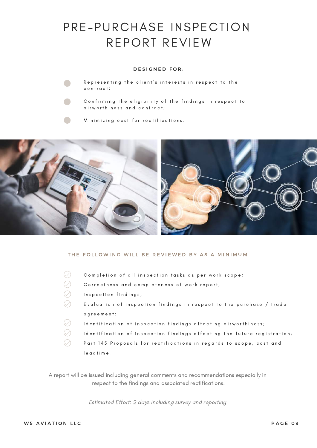## PRE-PURCHASE INSPECTION REPORT REVIEW

#### DESIGNED FOR:



Representing the client's interests in respect to the contract;



Confirming the eligibility of the findings in respect to airworthiness and contract;

Minimizing cost for rectifications.



#### THE FOLLOWING WILL BE REVIEWED BY AS A MINIMUM

| Completion of all inspection tasks as per work scope;                    |
|--------------------------------------------------------------------------|
| Correctness and completeness of work report;                             |
| Inspection findings;                                                     |
| Evaluation of inspection findings in respect to the purchase / trade     |
| agreement;                                                               |
| Identification of inspection findings affecting airworthiness;           |
| Identification of inspection findings affecting the future registration; |
| Part 145 Proposals for rectifications in regards to scope, cost and      |
| leadtime.                                                                |

A report will be issued including general comments and recommendations especially in respect to the findings and associated rectifications.

Estimated Effort: 2 days including survey and reporting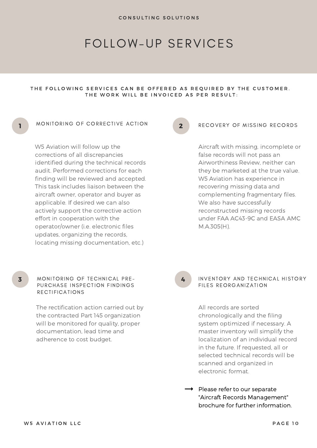### FOLLOW-UP SERVICES

#### THE FOLLOWING SERVICES CAN BE OFFERED AS REQUIRED BY THE CUSTOMER. THE WORK WILL BE INVOICED AS PER RESULT:

#### MONITORING OF CORRECTIVE ACTION

W5 Aviation will follow up the corrections of all discrepancies identified during the technical records audit. Performed corrections for each finding will be reviewed and accepted. This task includes liaison between the aircraft owner, operator and buyer as applicable. If desired we can also actively support the corrective action effort in cooperation with the operator/owner (i.e. electronic files updates, organizing the records, locating missing documentation, etc.)

#### 2

#### RECOVERY OF MISSING RECORDS

Aircraft with missing, incomplete or false records will not pass an Airworthiness Review, neither can they be marketed at the true value. W5 Aviation has experience in recovering missing data and complementing fragmentary files. We also have successfully reconstructed missing records under FAA AC43-9C and EASA AMC M.A.305(H).

4

#### INVENTORY AND TECHNICAL HISTORY FILES REORGANIZATION

All records are sorted chronologically and the filing system optimized if necessary. A master inventory will simplify the localization of an individual record in the future. If requested, all or selected technical records will be scanned and organized in electronic format.

 $\rightarrow$  Please refer to our separate "Aircraft Records Management" brochure for further information.

1

#### MONITORING OF TECHNICAL PRE-PURCHASE INSPECTION FINDINGS **RECTIFICATIONS**

The rectification action carried out by the contracted Part 145 organization will be monitored for quality, proper documentation, lead time and adherence to cost budget.